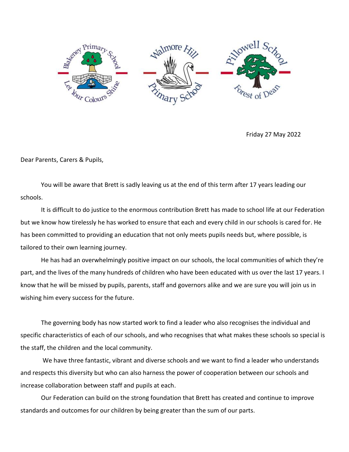

Friday 27 May 2022

Dear Parents, Carers & Pupils,

You will be aware that Brett is sadly leaving us at the end of this term after 17 years leading our schools.

It is difficult to do justice to the enormous contribution Brett has made to school life at our Federation but we know how tirelessly he has worked to ensure that each and every child in our schools is cared for. He has been committed to providing an education that not only meets pupils needs but, where possible, is tailored to their own learning journey.

He has had an overwhelmingly positive impact on our schools, the local communities of which they're part, and the lives of the many hundreds of children who have been educated with us over the last 17 years. I know that he will be missed by pupils, parents, staff and governors alike and we are sure you will join us in wishing him every success for the future.

The governing body has now started work to find a leader who also recognises the individual and specific characteristics of each of our schools, and who recognises that what makes these schools so special is the staff, the children and the local community.

We have three fantastic, vibrant and diverse schools and we want to find a leader who understands and respects this diversity but who can also harness the power of cooperation between our schools and increase collaboration between staff and pupils at each.

Our Federation can build on the strong foundation that Brett has created and continue to improve standards and outcomes for our children by being greater than the sum of our parts.